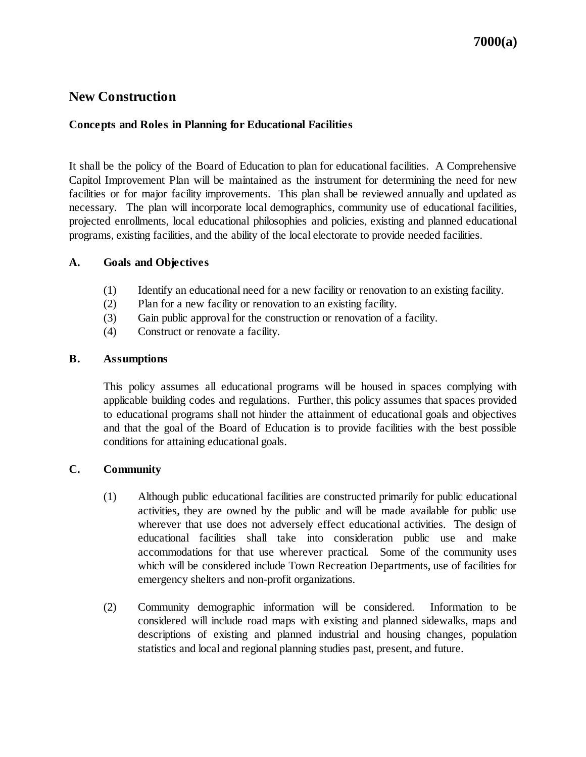# **New Construction**

### **Concepts and Roles in Planning for Educational Facilities**

It shall be the policy of the Board of Education to plan for educational facilities. A Comprehensive Capitol Improvement Plan will be maintained as the instrument for determining the need for new facilities or for major facility improvements. This plan shall be reviewed annually and updated as necessary. The plan will incorporate local demographics, community use of educational facilities, projected enrollments, local educational philosophies and policies, existing and planned educational programs, existing facilities, and the ability of the local electorate to provide needed facilities.

#### **A. Goals and Objectives**

- (1) Identify an educational need for a new facility or renovation to an existing facility.
- (2) Plan for a new facility or renovation to an existing facility.
- (3) Gain public approval for the construction or renovation of a facility.
- (4) Construct or renovate a facility.

#### **B. Assumptions**

This policy assumes all educational programs will be housed in spaces complying with applicable building codes and regulations. Further, this policy assumes that spaces provided to educational programs shall not hinder the attainment of educational goals and objectives and that the goal of the Board of Education is to provide facilities with the best possible conditions for attaining educational goals.

# **C. Community**

- (1) Although public educational facilities are constructed primarily for public educational activities, they are owned by the public and will be made available for public use wherever that use does not adversely effect educational activities. The design of educational facilities shall take into consideration public use and make accommodations for that use wherever practical. Some of the community uses which will be considered include Town Recreation Departments, use of facilities for emergency shelters and non-profit organizations.
- (2) Community demographic information will be considered. Information to be considered will include road maps with existing and planned sidewalks, maps and descriptions of existing and planned industrial and housing changes, population statistics and local and regional planning studies past, present, and future.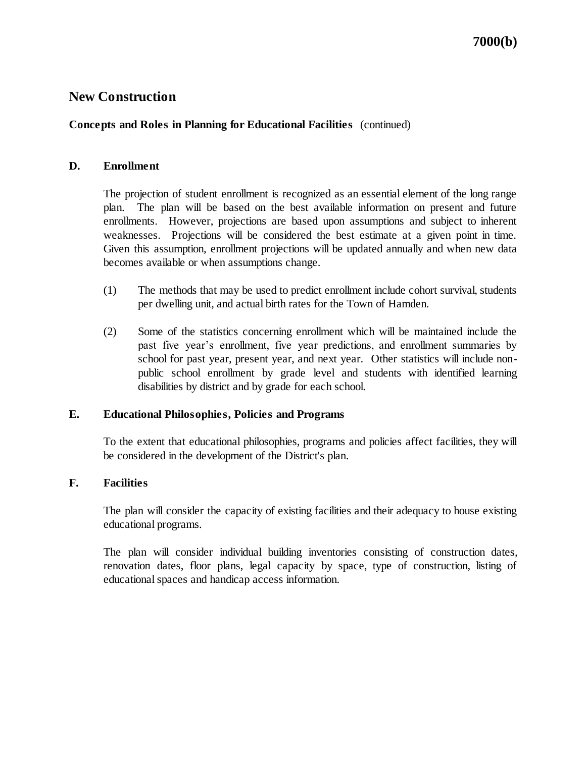# **New Construction**

## **Concepts and Roles in Planning for Educational Facilities** (continued)

#### **D. Enrollment**

The projection of student enrollment is recognized as an essential element of the long range plan. The plan will be based on the best available information on present and future enrollments. However, projections are based upon assumptions and subject to inherent weaknesses. Projections will be considered the best estimate at a given point in time. Given this assumption, enrollment projections will be updated annually and when new data becomes available or when assumptions change.

- (1) The methods that may be used to predict enrollment include cohort survival, students per dwelling unit, and actual birth rates for the Town of Hamden.
- (2) Some of the statistics concerning enrollment which will be maintained include the past five year's enrollment, five year predictions, and enrollment summaries by school for past year, present year, and next year. Other statistics will include nonpublic school enrollment by grade level and students with identified learning disabilities by district and by grade for each school.

#### **E. Educational Philosophies, Policies and Programs**

To the extent that educational philosophies, programs and policies affect facilities, they will be considered in the development of the District's plan.

#### **F. Facilities**

The plan will consider the capacity of existing facilities and their adequacy to house existing educational programs.

The plan will consider individual building inventories consisting of construction dates, renovation dates, floor plans, legal capacity by space, type of construction, listing of educational spaces and handicap access information.